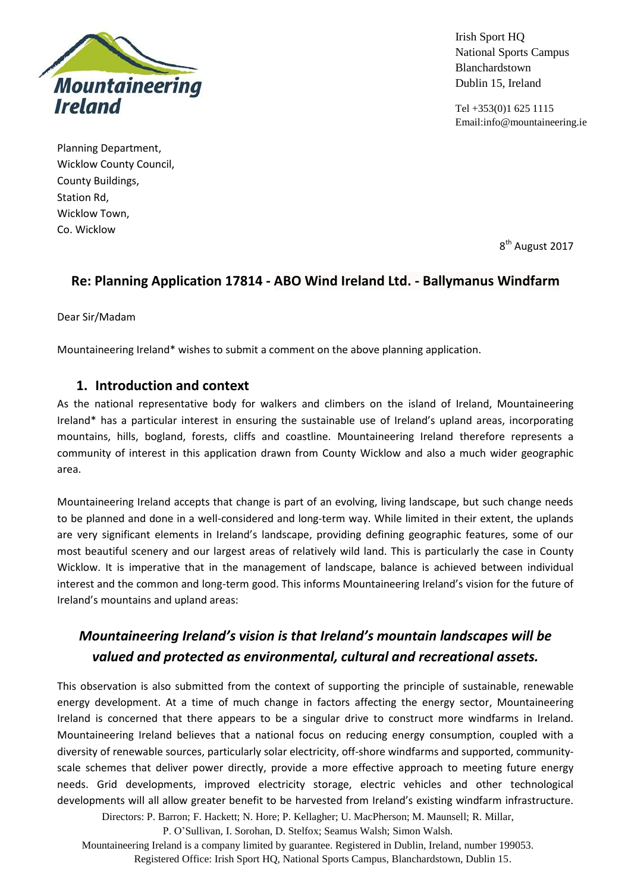

Planning Department, Wicklow County Council, County Buildings, Station Rd, Wicklow Town, Co. Wicklow

Irish Sport HQ National Sports Campus Blanchardstown Dublin 15, Ireland

Tel +353(0)1 625 1115 Email:info@mountaineering.ie

8<sup>th</sup> August 2017

## **Re: Planning Application 17814 - ABO Wind Ireland Ltd. - Ballymanus Windfarm**

Dear Sir/Madam

Mountaineering Ireland\* wishes to submit a comment on the above planning application.

### **1. Introduction and context**

As the national representative body for walkers and climbers on the island of Ireland, Mountaineering Ireland\* has a particular interest in ensuring the sustainable use of Ireland's upland areas, incorporating mountains, hills, bogland, forests, cliffs and coastline. Mountaineering Ireland therefore represents a community of interest in this application drawn from County Wicklow and also a much wider geographic area.

Mountaineering Ireland accepts that change is part of an evolving, living landscape, but such change needs to be planned and done in a well-considered and long-term way. While limited in their extent, the uplands are very significant elements in Ireland's landscape, providing defining geographic features, some of our most beautiful scenery and our largest areas of relatively wild land. This is particularly the case in County Wicklow. It is imperative that in the management of landscape, balance is achieved between individual interest and the common and long-term good. This informs Mountaineering Ireland's vision for the future of Ireland's mountains and upland areas:

# *Mountaineering Ireland's vision is that Ireland's mountain landscapes will be valued and protected as environmental, cultural and recreational assets.*

This observation is also submitted from the context of supporting the principle of sustainable, renewable energy development. At a time of much change in factors affecting the energy sector, Mountaineering Ireland is concerned that there appears to be a singular drive to construct more windfarms in Ireland. Mountaineering Ireland believes that a national focus on reducing energy consumption, coupled with a diversity of renewable sources, particularly solar electricity, off-shore windfarms and supported, communityscale schemes that deliver power directly, provide a more effective approach to meeting future energy needs. Grid developments, improved electricity storage, electric vehicles and other technological developments will all allow greater benefit to be harvested from Ireland's existing windfarm infrastructure.

Directors: P. Barron; F. Hackett; N. Hore; P. Kellagher; U. MacPherson; M. Maunsell; R. Millar, P. O'Sullivan, I. Sorohan, D. Stelfox; Seamus Walsh; Simon Walsh.

Mountaineering Ireland is a company limited by guarantee. Registered in Dublin, Ireland, number 199053. Registered Office: Irish Sport HQ, National Sports Campus, Blanchardstown, Dublin 15.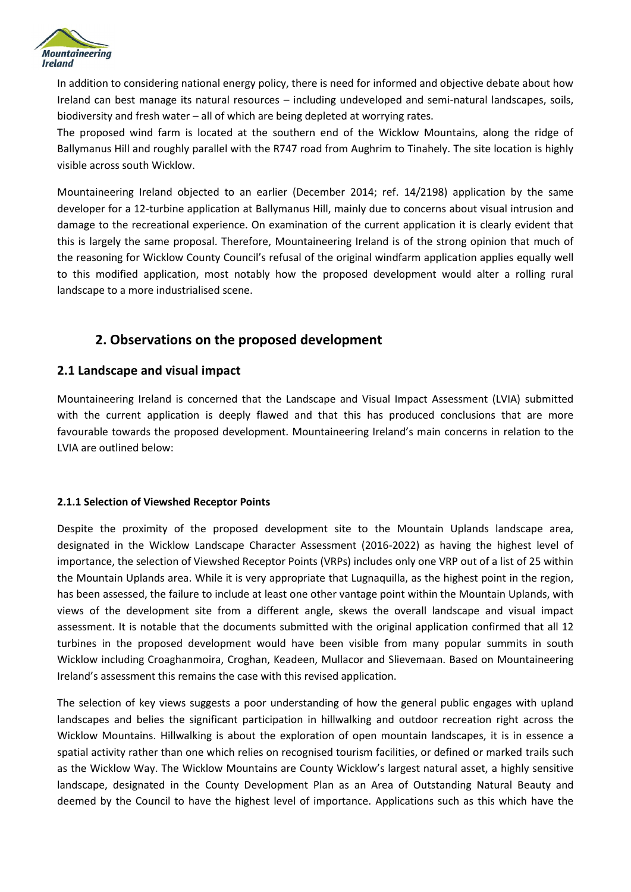

In addition to considering national energy policy, there is need for informed and objective debate about how Ireland can best manage its natural resources – including undeveloped and semi-natural landscapes, soils, biodiversity and fresh water – all of which are being depleted at worrying rates.

The proposed wind farm is located at the southern end of the Wicklow Mountains, along the ridge of Ballymanus Hill and roughly parallel with the R747 road from Aughrim to Tinahely. The site location is highly visible across south Wicklow.

Mountaineering Ireland objected to an earlier (December 2014; ref. 14/2198) application by the same developer for a 12-turbine application at Ballymanus Hill, mainly due to concerns about visual intrusion and damage to the recreational experience. On examination of the current application it is clearly evident that this is largely the same proposal. Therefore, Mountaineering Ireland is of the strong opinion that much of the reasoning for Wicklow County Council's refusal of the original windfarm application applies equally well to this modified application, most notably how the proposed development would alter a rolling rural landscape to a more industrialised scene.

### **2. Observations on the proposed development**

### **2.1 Landscape and visual impact**

Mountaineering Ireland is concerned that the Landscape and Visual Impact Assessment (LVIA) submitted with the current application is deeply flawed and that this has produced conclusions that are more favourable towards the proposed development. Mountaineering Ireland's main concerns in relation to the LVIA are outlined below:

#### **2.1.1 Selection of Viewshed Receptor Points**

Despite the proximity of the proposed development site to the Mountain Uplands landscape area, designated in the Wicklow Landscape Character Assessment (2016-2022) as having the highest level of importance, the selection of Viewshed Receptor Points (VRPs) includes only one VRP out of a list of 25 within the Mountain Uplands area. While it is very appropriate that Lugnaquilla, as the highest point in the region, has been assessed, the failure to include at least one other vantage point within the Mountain Uplands, with views of the development site from a different angle, skews the overall landscape and visual impact assessment. It is notable that the documents submitted with the original application confirmed that all 12 turbines in the proposed development would have been visible from many popular summits in south Wicklow including Croaghanmoira, Croghan, Keadeen, Mullacor and Slievemaan. Based on Mountaineering Ireland's assessment this remains the case with this revised application.

The selection of key views suggests a poor understanding of how the general public engages with upland landscapes and belies the significant participation in hillwalking and outdoor recreation right across the Wicklow Mountains. Hillwalking is about the exploration of open mountain landscapes, it is in essence a spatial activity rather than one which relies on recognised tourism facilities, or defined or marked trails such as the Wicklow Way. The Wicklow Mountains are County Wicklow's largest natural asset, a highly sensitive landscape, designated in the County Development Plan as an Area of Outstanding Natural Beauty and deemed by the Council to have the highest level of importance. Applications such as this which have the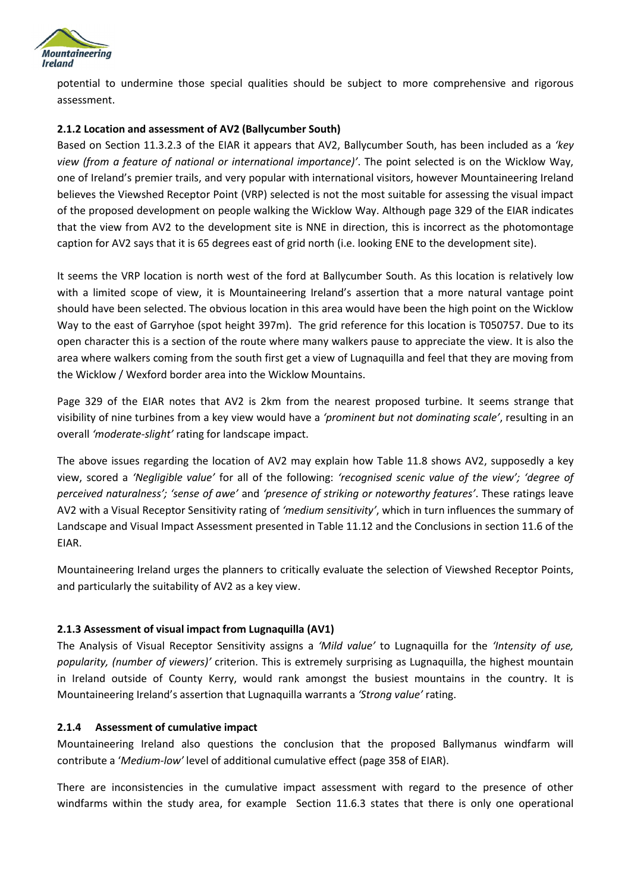

potential to undermine those special qualities should be subject to more comprehensive and rigorous assessment.

#### **2.1.2 Location and assessment of AV2 (Ballycumber South)**

Based on Section 11.3.2.3 of the EIAR it appears that AV2, Ballycumber South, has been included as a *'key view (from a feature of national or international importance)'*. The point selected is on the Wicklow Way, one of Ireland's premier trails, and very popular with international visitors, however Mountaineering Ireland believes the Viewshed Receptor Point (VRP) selected is not the most suitable for assessing the visual impact of the proposed development on people walking the Wicklow Way. Although page 329 of the EIAR indicates that the view from AV2 to the development site is NNE in direction, this is incorrect as the photomontage caption for AV2 says that it is 65 degrees east of grid north (i.e. looking ENE to the development site).

It seems the VRP location is north west of the ford at Ballycumber South. As this location is relatively low with a limited scope of view, it is Mountaineering Ireland's assertion that a more natural vantage point should have been selected. The obvious location in this area would have been the high point on the Wicklow Way to the east of Garryhoe (spot height 397m). The grid reference for this location is T050757. Due to its open character this is a section of the route where many walkers pause to appreciate the view. It is also the area where walkers coming from the south first get a view of Lugnaquilla and feel that they are moving from the Wicklow / Wexford border area into the Wicklow Mountains.

Page 329 of the EIAR notes that AV2 is 2km from the nearest proposed turbine. It seems strange that visibility of nine turbines from a key view would have a *'prominent but not dominating scale'*, resulting in an overall *'moderate-slight'* rating for landscape impact.

The above issues regarding the location of AV2 may explain how Table 11.8 shows AV2, supposedly a key view, scored a *'Negligible value'* for all of the following: *'recognised scenic value of the view'; 'degree of perceived naturalness'; 'sense of awe'* and *'presence of striking or noteworthy features'*. These ratings leave AV2 with a Visual Receptor Sensitivity rating of *'medium sensitivity'*, which in turn influences the summary of Landscape and Visual Impact Assessment presented in Table 11.12 and the Conclusions in section 11.6 of the EIAR.

Mountaineering Ireland urges the planners to critically evaluate the selection of Viewshed Receptor Points, and particularly the suitability of AV2 as a key view.

#### **2.1.3 Assessment of visual impact from Lugnaquilla (AV1)**

The Analysis of Visual Receptor Sensitivity assigns a *'Mild value'* to Lugnaquilla for the *'Intensity of use, popularity, (number of viewers)'* criterion. This is extremely surprising as Lugnaquilla, the highest mountain in Ireland outside of County Kerry, would rank amongst the busiest mountains in the country. It is Mountaineering Ireland's assertion that Lugnaquilla warrants a *'Strong value'* rating.

#### **2.1.4 Assessment of cumulative impact**

Mountaineering Ireland also questions the conclusion that the proposed Ballymanus windfarm will contribute a '*Medium-low'* level of additional cumulative effect (page 358 of EIAR).

There are inconsistencies in the cumulative impact assessment with regard to the presence of other windfarms within the study area, for example Section 11.6.3 states that there is only one operational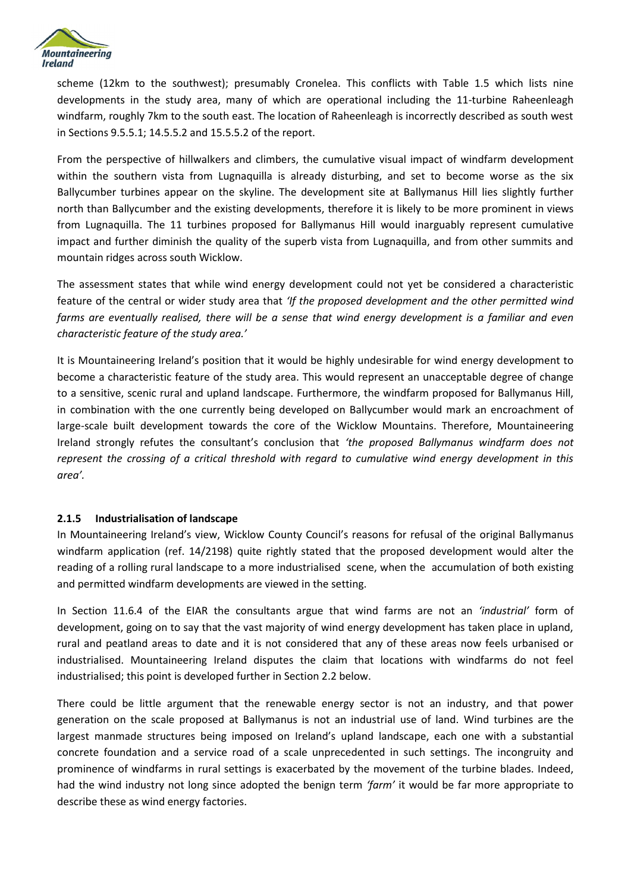

scheme (12km to the southwest); presumably Cronelea. This conflicts with Table 1.5 which lists nine developments in the study area, many of which are operational including the 11-turbine Raheenleagh windfarm, roughly 7km to the south east. The location of Raheenleagh is incorrectly described as south west in Sections 9.5.5.1; 14.5.5.2 and 15.5.5.2 of the report.

From the perspective of hillwalkers and climbers, the cumulative visual impact of windfarm development within the southern vista from Lugnaquilla is already disturbing, and set to become worse as the six Ballycumber turbines appear on the skyline. The development site at Ballymanus Hill lies slightly further north than Ballycumber and the existing developments, therefore it is likely to be more prominent in views from Lugnaquilla. The 11 turbines proposed for Ballymanus Hill would inarguably represent cumulative impact and further diminish the quality of the superb vista from Lugnaquilla, and from other summits and mountain ridges across south Wicklow.

The assessment states that while wind energy development could not yet be considered a characteristic feature of the central or wider study area that *'If the proposed development and the other permitted wind farms are eventually realised, there will be a sense that wind energy development is a familiar and even characteristic feature of the study area.'*

It is Mountaineering Ireland's position that it would be highly undesirable for wind energy development to become a characteristic feature of the study area. This would represent an unacceptable degree of change to a sensitive, scenic rural and upland landscape. Furthermore, the windfarm proposed for Ballymanus Hill, in combination with the one currently being developed on Ballycumber would mark an encroachment of large-scale built development towards the core of the Wicklow Mountains. Therefore, Mountaineering Ireland strongly refutes the consultant's conclusion that *'the proposed Ballymanus windfarm does not represent the crossing of a critical threshold with regard to cumulative wind energy development in this area'.*

#### **2.1.5 Industrialisation of landscape**

In Mountaineering Ireland's view, Wicklow County Council's reasons for refusal of the original Ballymanus windfarm application (ref. 14/2198) quite rightly stated that the proposed development would alter the reading of a rolling rural landscape to a more industrialised scene, when the accumulation of both existing and permitted windfarm developments are viewed in the setting.

In Section 11.6.4 of the EIAR the consultants argue that wind farms are not an *'industrial'* form of development, going on to say that the vast majority of wind energy development has taken place in upland, rural and peatland areas to date and it is not considered that any of these areas now feels urbanised or industrialised. Mountaineering Ireland disputes the claim that locations with windfarms do not feel industrialised; this point is developed further in Section 2.2 below.

There could be little argument that the renewable energy sector is not an industry, and that power generation on the scale proposed at Ballymanus is not an industrial use of land. Wind turbines are the largest manmade structures being imposed on Ireland's upland landscape, each one with a substantial concrete foundation and a service road of a scale unprecedented in such settings. The incongruity and prominence of windfarms in rural settings is exacerbated by the movement of the turbine blades. Indeed, had the wind industry not long since adopted the benign term *'farm'* it would be far more appropriate to describe these as wind energy factories.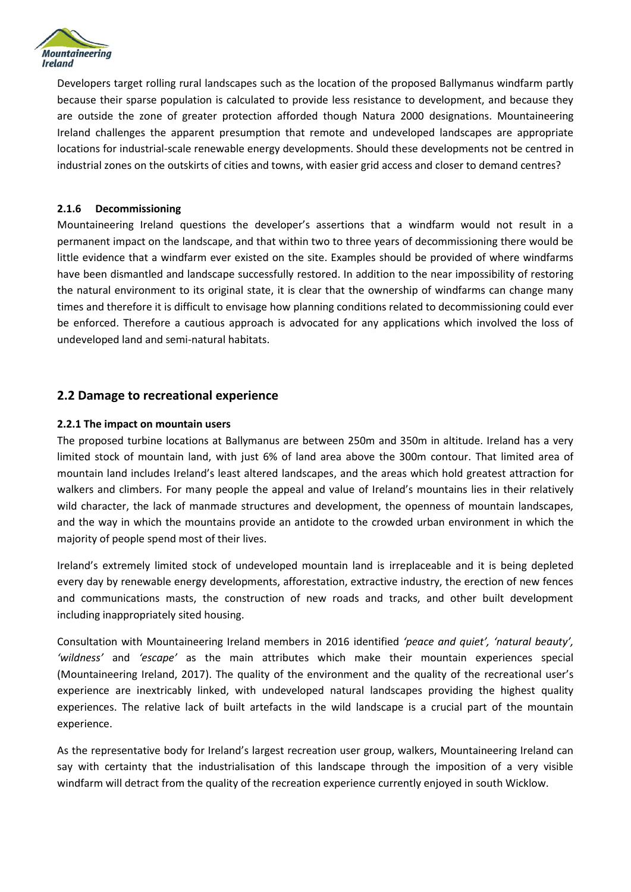

Developers target rolling rural landscapes such as the location of the proposed Ballymanus windfarm partly because their sparse population is calculated to provide less resistance to development, and because they are outside the zone of greater protection afforded though Natura 2000 designations. Mountaineering Ireland challenges the apparent presumption that remote and undeveloped landscapes are appropriate locations for industrial-scale renewable energy developments. Should these developments not be centred in industrial zones on the outskirts of cities and towns, with easier grid access and closer to demand centres?

#### **2.1.6 Decommissioning**

Mountaineering Ireland questions the developer's assertions that a windfarm would not result in a permanent impact on the landscape, and that within two to three years of decommissioning there would be little evidence that a windfarm ever existed on the site. Examples should be provided of where windfarms have been dismantled and landscape successfully restored. In addition to the near impossibility of restoring the natural environment to its original state, it is clear that the ownership of windfarms can change many times and therefore it is difficult to envisage how planning conditions related to decommissioning could ever be enforced. Therefore a cautious approach is advocated for any applications which involved the loss of undeveloped land and semi-natural habitats.

#### **2.2 Damage to recreational experience**

#### **2.2.1 The impact on mountain users**

The proposed turbine locations at Ballymanus are between 250m and 350m in altitude. Ireland has a very limited stock of mountain land, with just 6% of land area above the 300m contour. That limited area of mountain land includes Ireland's least altered landscapes, and the areas which hold greatest attraction for walkers and climbers. For many people the appeal and value of Ireland's mountains lies in their relatively wild character, the lack of manmade structures and development, the openness of mountain landscapes, and the way in which the mountains provide an antidote to the crowded urban environment in which the majority of people spend most of their lives.

Ireland's extremely limited stock of undeveloped mountain land is irreplaceable and it is being depleted every day by renewable energy developments, afforestation, extractive industry, the erection of new fences and communications masts, the construction of new roads and tracks, and other built development including inappropriately sited housing.

Consultation with Mountaineering Ireland members in 2016 identified *'peace and quiet', 'natural beauty', 'wildness'* and *'escape'* as the main attributes which make their mountain experiences special (Mountaineering Ireland, 2017). The quality of the environment and the quality of the recreational user's experience are inextricably linked, with undeveloped natural landscapes providing the highest quality experiences. The relative lack of built artefacts in the wild landscape is a crucial part of the mountain experience.

As the representative body for Ireland's largest recreation user group, walkers, Mountaineering Ireland can say with certainty that the industrialisation of this landscape through the imposition of a very visible windfarm will detract from the quality of the recreation experience currently enjoyed in south Wicklow.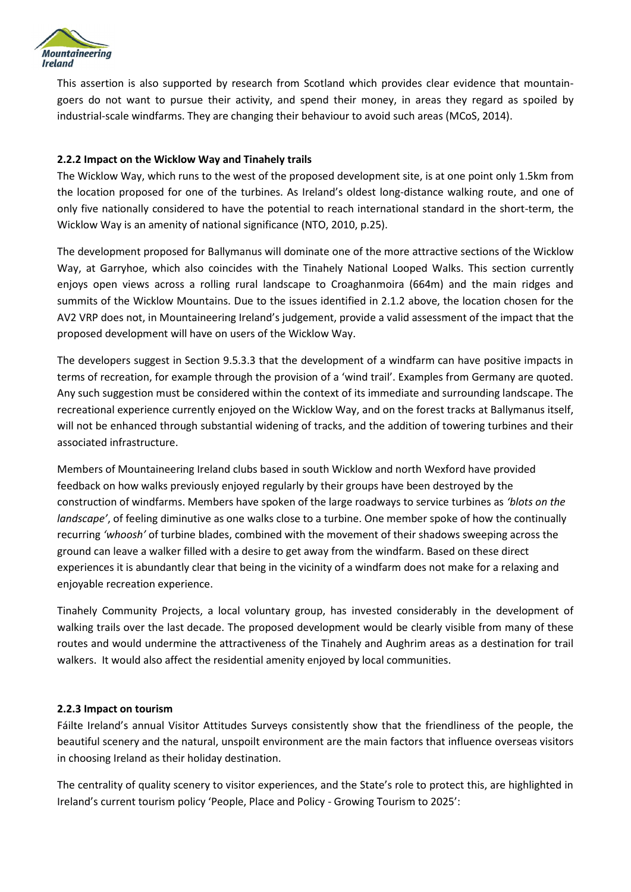

This assertion is also supported by research from Scotland which provides clear evidence that mountaingoers do not want to pursue their activity, and spend their money, in areas they regard as spoiled by industrial-scale windfarms. They are changing their behaviour to avoid such areas (MCoS, 2014).

#### **2.2.2 Impact on the Wicklow Way and Tinahely trails**

The Wicklow Way, which runs to the west of the proposed development site, is at one point only 1.5km from the location proposed for one of the turbines. As Ireland's oldest long-distance walking route, and one of only five nationally considered to have the potential to reach international standard in the short-term, the Wicklow Way is an amenity of national significance (NTO, 2010, p.25).

The development proposed for Ballymanus will dominate one of the more attractive sections of the Wicklow Way, at Garryhoe, which also coincides with the Tinahely National Looped Walks. This section currently enjoys open views across a rolling rural landscape to Croaghanmoira (664m) and the main ridges and summits of the Wicklow Mountains. Due to the issues identified in 2.1.2 above, the location chosen for the AV2 VRP does not, in Mountaineering Ireland's judgement, provide a valid assessment of the impact that the proposed development will have on users of the Wicklow Way.

The developers suggest in Section 9.5.3.3 that the development of a windfarm can have positive impacts in terms of recreation, for example through the provision of a 'wind trail'. Examples from Germany are quoted. Any such suggestion must be considered within the context of its immediate and surrounding landscape. The recreational experience currently enjoyed on the Wicklow Way, and on the forest tracks at Ballymanus itself, will not be enhanced through substantial widening of tracks, and the addition of towering turbines and their associated infrastructure.

Members of Mountaineering Ireland clubs based in south Wicklow and north Wexford have provided feedback on how walks previously enjoyed regularly by their groups have been destroyed by the construction of windfarms. Members have spoken of the large roadways to service turbines as *'blots on the landscape'*, of feeling diminutive as one walks close to a turbine. One member spoke of how the continually recurring *'whoosh'* of turbine blades, combined with the movement of their shadows sweeping across the ground can leave a walker filled with a desire to get away from the windfarm. Based on these direct experiences it is abundantly clear that being in the vicinity of a windfarm does not make for a relaxing and enjoyable recreation experience.

Tinahely Community Projects, a local voluntary group, has invested considerably in the development of walking trails over the last decade. The proposed development would be clearly visible from many of these routes and would undermine the attractiveness of the Tinahely and Aughrim areas as a destination for trail walkers. It would also affect the residential amenity enjoyed by local communities.

#### **2.2.3 Impact on tourism**

Fáilte Ireland's annual Visitor Attitudes Surveys consistently show that the friendliness of the people, the beautiful scenery and the natural, unspoilt environment are the main factors that influence overseas visitors in choosing Ireland as their holiday destination.

The centrality of quality scenery to visitor experiences, and the State's role to protect this, are highlighted in Ireland's current tourism policy 'People, Place and Policy - Growing Tourism to 2025':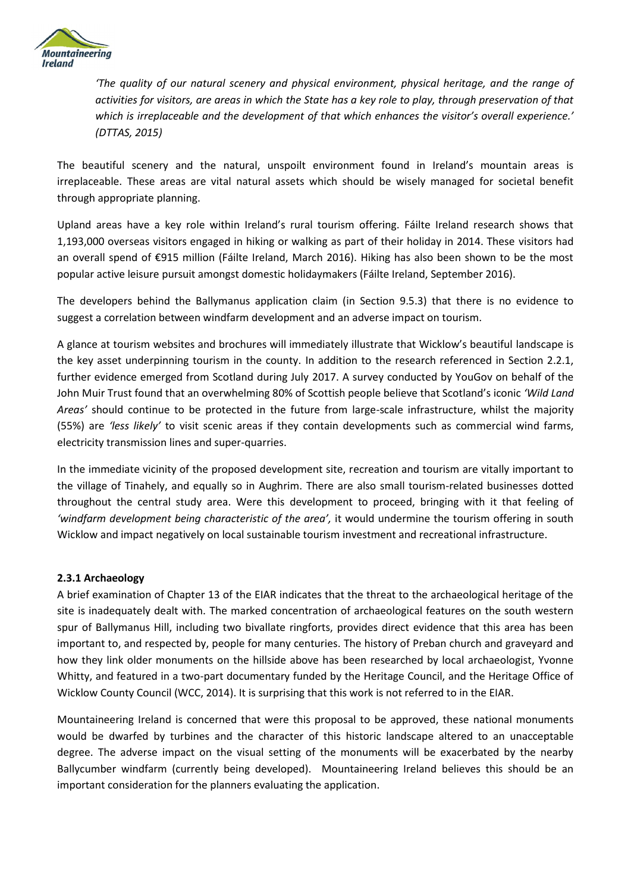

*'The quality of our natural scenery and physical environment, physical heritage, and the range of activities for visitors, are areas in which the State has a key role to play, through preservation of that which is irreplaceable and the development of that which enhances the visitor's overall experience.' (DTTAS, 2015)*

The beautiful scenery and the natural, unspoilt environment found in Ireland's mountain areas is irreplaceable. These areas are vital natural assets which should be wisely managed for societal benefit through appropriate planning.

Upland areas have a key role within Ireland's rural tourism offering. Fáilte Ireland research shows that 1,193,000 overseas visitors engaged in hiking or walking as part of their holiday in 2014. These visitors had an overall spend of €915 million (Fáilte Ireland, March 2016). Hiking has also been shown to be the most popular active leisure pursuit amongst domestic holidaymakers (Fáilte Ireland, September 2016).

The developers behind the Ballymanus application claim (in Section 9.5.3) that there is no evidence to suggest a correlation between windfarm development and an adverse impact on tourism.

A glance at tourism websites and brochures will immediately illustrate that Wicklow's beautiful landscape is the key asset underpinning tourism in the county. In addition to the research referenced in Section 2.2.1, further evidence emerged from Scotland during July 2017. A survey conducted by YouGov on behalf of the John Muir Trust found that an overwhelming 80% of Scottish people believe that Scotland's iconic *'Wild Land Areas'* should continue to be protected in the future from large-scale infrastructure, whilst the majority (55%) are *'less likely'* to visit scenic areas if they contain developments such as commercial wind farms, electricity transmission lines and super-quarries.

In the immediate vicinity of the proposed development site, recreation and tourism are vitally important to the village of Tinahely, and equally so in Aughrim. There are also small tourism-related businesses dotted throughout the central study area. Were this development to proceed, bringing with it that feeling of *'windfarm development being characteristic of the area',* it would undermine the tourism offering in south Wicklow and impact negatively on local sustainable tourism investment and recreational infrastructure.

#### **2.3.1 Archaeology**

A brief examination of Chapter 13 of the EIAR indicates that the threat to the archaeological heritage of the site is inadequately dealt with. The marked concentration of archaeological features on the south western spur of Ballymanus Hill, including two bivallate ringforts, provides direct evidence that this area has been important to, and respected by, people for many centuries. The history of Preban church and graveyard and how they link older monuments on the hillside above has been researched by local archaeologist, Yvonne Whitty, and featured in a two-part documentary funded by the Heritage Council, and the Heritage Office of Wicklow County Council (WCC, 2014). It is surprising that this work is not referred to in the EIAR.

Mountaineering Ireland is concerned that were this proposal to be approved, these national monuments would be dwarfed by turbines and the character of this historic landscape altered to an unacceptable degree. The adverse impact on the visual setting of the monuments will be exacerbated by the nearby Ballycumber windfarm (currently being developed). Mountaineering Ireland believes this should be an important consideration for the planners evaluating the application.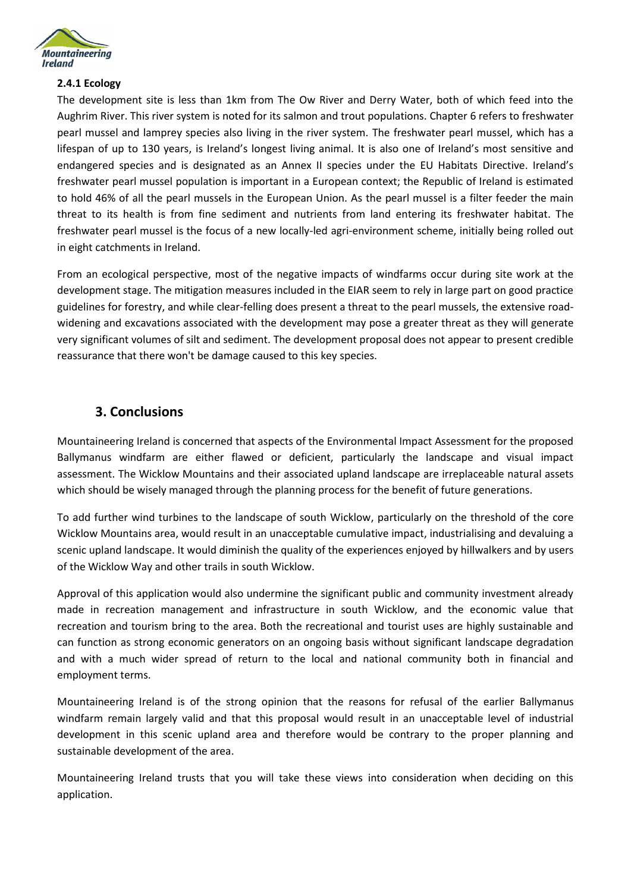

#### **2.4.1 Ecology**

The development site is less than 1km from The Ow River and Derry Water, both of which feed into the Aughrim River. This river system is noted for its salmon and trout populations. Chapter 6 refers to freshwater pearl mussel and lamprey species also living in the river system. The freshwater pearl mussel, which has a lifespan of up to 130 years, is Ireland's longest living animal. It is also one of Ireland's most sensitive and endangered species and is designated as an Annex II species under the EU Habitats Directive. Ireland's freshwater pearl mussel population is important in a European context; the Republic of Ireland is estimated to hold 46% of all the pearl mussels in the European Union. As the pearl mussel is a filter feeder the main threat to its health is from fine sediment and nutrients from land entering its freshwater habitat. The freshwater pearl mussel is the focus of a new locally-led agri-environment scheme, initially being rolled out in eight catchments in Ireland.

From an ecological perspective, most of the negative impacts of windfarms occur during site work at the development stage. The mitigation measures included in the EIAR seem to rely in large part on good practice guidelines for forestry, and while clear-felling does present a threat to the pearl mussels, the extensive roadwidening and excavations associated with the development may pose a greater threat as they will generate very significant volumes of silt and sediment. The development proposal does not appear to present credible reassurance that there won't be damage caused to this key species.

### **3. Conclusions**

Mountaineering Ireland is concerned that aspects of the Environmental Impact Assessment for the proposed Ballymanus windfarm are either flawed or deficient, particularly the landscape and visual impact assessment. The Wicklow Mountains and their associated upland landscape are irreplaceable natural assets which should be wisely managed through the planning process for the benefit of future generations.

To add further wind turbines to the landscape of south Wicklow, particularly on the threshold of the core Wicklow Mountains area, would result in an unacceptable cumulative impact, industrialising and devaluing a scenic upland landscape. It would diminish the quality of the experiences enjoyed by hillwalkers and by users of the Wicklow Way and other trails in south Wicklow.

Approval of this application would also undermine the significant public and community investment already made in recreation management and infrastructure in south Wicklow, and the economic value that recreation and tourism bring to the area. Both the recreational and tourist uses are highly sustainable and can function as strong economic generators on an ongoing basis without significant landscape degradation and with a much wider spread of return to the local and national community both in financial and employment terms.

Mountaineering Ireland is of the strong opinion that the reasons for refusal of the earlier Ballymanus windfarm remain largely valid and that this proposal would result in an unacceptable level of industrial development in this scenic upland area and therefore would be contrary to the proper planning and sustainable development of the area.

Mountaineering Ireland trusts that you will take these views into consideration when deciding on this application.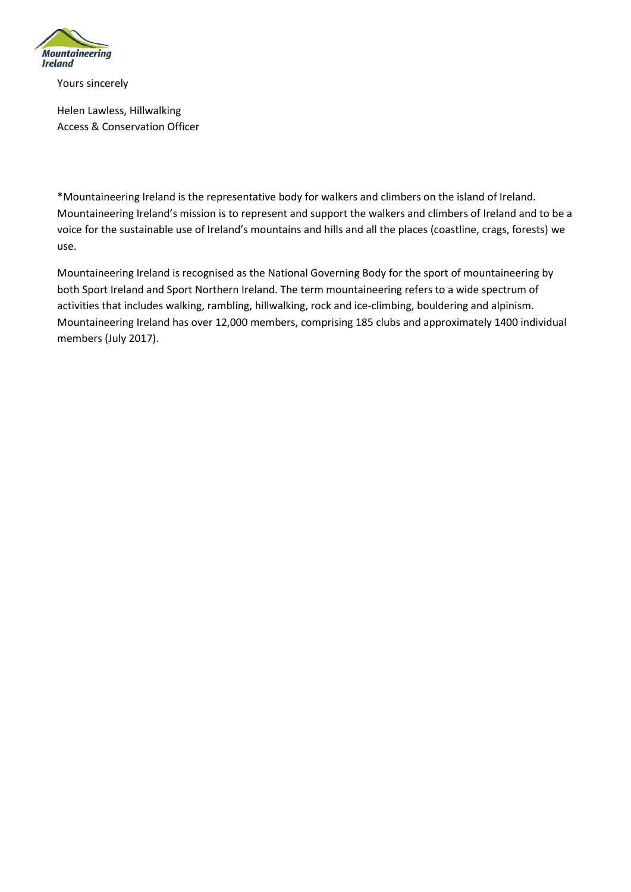

Yours sincerely

Helen Lawless, Hillwalking Access & Conservation Officer

\*Mountaineering Ireland is the representative body for walkers and climbers on the island of Ireland. Mountaineering Ireland's mission is to represent and support the walkers and climbers of Ireland and to be a voice for the sustainable use of Ireland's mountains and hills and all the places (coastline, crags, forests) we use.

Mountaineering Ireland is recognised as the National Governing Body for the sport of mountaineering by both Sport Ireland and Sport Northern Ireland. The term mountaineering refers to a wide spectrum of activities that includes walking, rambling, hillwalking, rock and ice-climbing, bouldering and alpinism. Mountaineering Ireland has over 12,000 members, comprising 185 clubs and approximately 1400 individual members (July 2017).